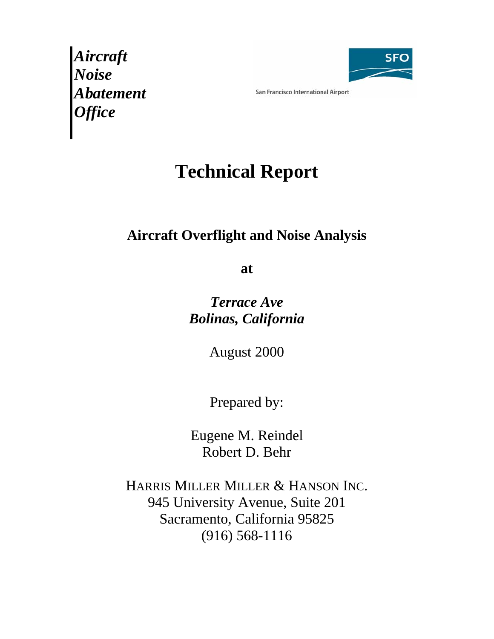*Aircraft Noise Abatement Office* 



San Francisco International Airport

# **Technical Report**

# **Aircraft Overflight and Noise Analysis**

**at** 

*Terrace Ave Bolinas, California*

August 2000

Prepared by:

Eugene M. Reindel Robert D. Behr

HARRIS MILLER MILLER & HANSON INC. 945 University Avenue, Suite 201 Sacramento, California 95825 (916) 568-1116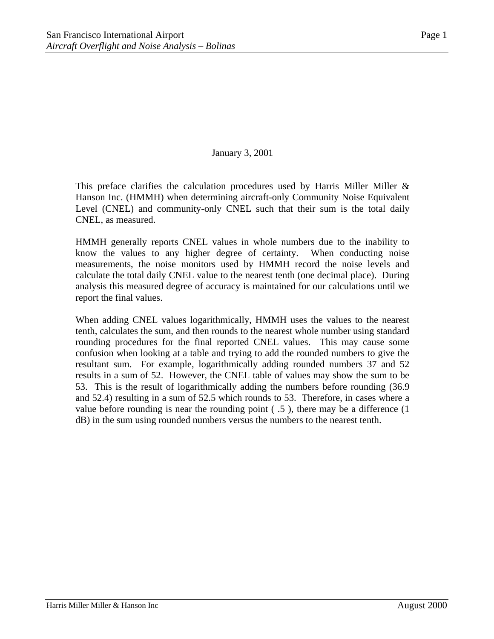#### January 3, 2001

This preface clarifies the calculation procedures used by Harris Miller Miller  $\&$ Hanson Inc. (HMMH) when determining aircraft-only Community Noise Equivalent Level (CNEL) and community-only CNEL such that their sum is the total daily CNEL, as measured.

HMMH generally reports CNEL values in whole numbers due to the inability to know the values to any higher degree of certainty. When conducting noise measurements, the noise monitors used by HMMH record the noise levels and calculate the total daily CNEL value to the nearest tenth (one decimal place). During analysis this measured degree of accuracy is maintained for our calculations until we report the final values.

When adding CNEL values logarithmically, HMMH uses the values to the nearest tenth, calculates the sum, and then rounds to the nearest whole number using standard rounding procedures for the final reported CNEL values. This may cause some confusion when looking at a table and trying to add the rounded numbers to give the resultant sum. For example, logarithmically adding rounded numbers 37 and 52 results in a sum of 52. However, the CNEL table of values may show the sum to be 53. This is the result of logarithmically adding the numbers before rounding (36.9 and 52.4) resulting in a sum of 52.5 which rounds to 53. Therefore, in cases where a value before rounding is near the rounding point ( .5 ), there may be a difference (1 dB) in the sum using rounded numbers versus the numbers to the nearest tenth.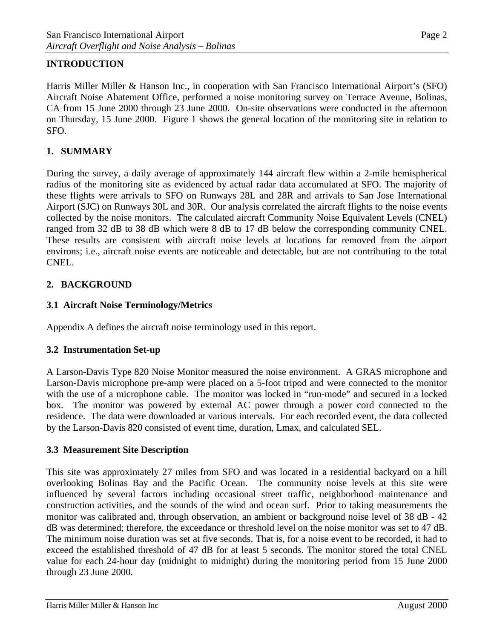## **INTRODUCTION**

Harris Miller Miller & Hanson Inc., in cooperation with San Francisco International Airport's (SFO) Aircraft Noise Abatement Office, performed a noise monitoring survey on Terrace Avenue, Bolinas, CA from 15 June 2000 through 23 June 2000. On-site observations were conducted in the afternoon on Thursday, 15 June 2000. Figure 1 shows the general location of the monitoring site in relation to SFO.

#### **1. SUMMARY**

During the survey, a daily average of approximately 144 aircraft flew within a 2-mile hemispherical radius of the monitoring site as evidenced by actual radar data accumulated at SFO. The majority of these flights were arrivals to SFO on Runways 28L and 28R and arrivals to San Jose International Airport (SJC) on Runways 30L and 30R. Our analysis correlated the aircraft flights to the noise events collected by the noise monitors. The calculated aircraft Community Noise Equivalent Levels (CNEL) ranged from 32 dB to 38 dB which were 8 dB to 17 dB below the corresponding community CNEL. These results are consistent with aircraft noise levels at locations far removed from the airport environs; i.e., aircraft noise events are noticeable and detectable, but are not contributing to the total CNEL.

#### **2. BACKGROUND**

#### **3.1 Aircraft Noise Terminology/Metrics**

Appendix A defines the aircraft noise terminology used in this report.

#### **3.2 Instrumentation Set-up**

A Larson-Davis Type 820 Noise Monitor measured the noise environment. A GRAS microphone and Larson-Davis microphone pre-amp were placed on a 5-foot tripod and were connected to the monitor with the use of a microphone cable. The monitor was locked in "run-mode" and secured in a locked box. The monitor was powered by external AC power through a power cord connected to the residence. The data were downloaded at various intervals. For each recorded event, the data collected by the Larson-Davis 820 consisted of event time, duration, Lmax, and calculated SEL.

#### **3.3 Measurement Site Description**

This site was approximately 27 miles from SFO and was located in a residential backyard on a hill overlooking Bolinas Bay and the Pacific Ocean. The community noise levels at this site were influenced by several factors including occasional street traffic, neighborhood maintenance and construction activities, and the sounds of the wind and ocean surf. Prior to taking measurements the monitor was calibrated and, through observation, an ambient or background noise level of 38 dB - 42 dB was determined; therefore, the exceedance or threshold level on the noise monitor was set to 47 dB. The minimum noise duration was set at five seconds. That is, for a noise event to be recorded, it had to exceed the established threshold of 47 dB for at least 5 seconds. The monitor stored the total CNEL value for each 24-hour day (midnight to midnight) during the monitoring period from 15 June 2000 through 23 June 2000.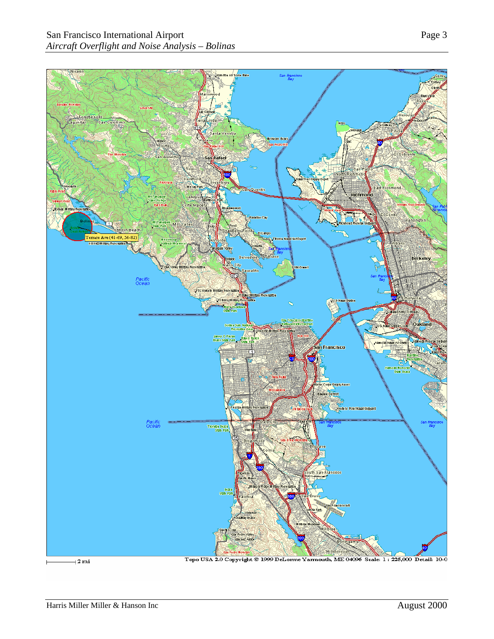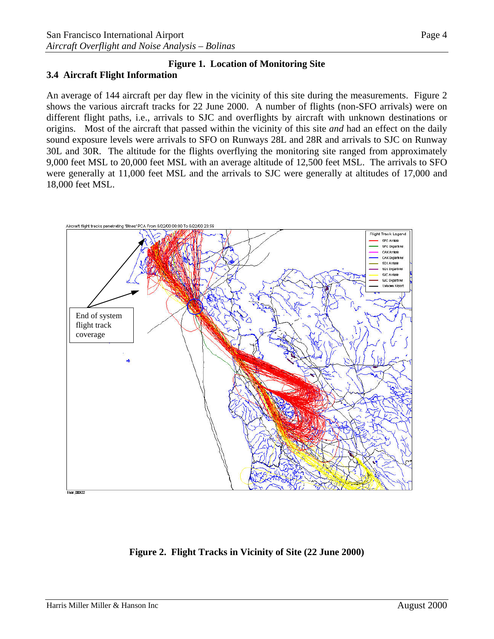#### **Figure 1. Location of Monitoring Site 3.4 Aircraft Flight Information**

An average of 144 aircraft per day flew in the vicinity of this site during the measurements. Figure 2 shows the various aircraft tracks for 22 June 2000. A number of flights (non-SFO arrivals) were on different flight paths, i.e., arrivals to SJC and overflights by aircraft with unknown destinations or origins. Most of the aircraft that passed within the vicinity of this site *and* had an effect on the daily sound exposure levels were arrivals to SFO on Runways 28L and 28R and arrivals to SJC on Runway 30L and 30R. The altitude for the flights overflying the monitoring site ranged from approximately 9,000 feet MSL to 20,000 feet MSL with an average altitude of 12,500 feet MSL. The arrivals to SFO were generally at 11,000 feet MSL and the arrivals to SJC were generally at altitudes of 17,000 and 18,000 feet MSL.



**Figure 2. Flight Tracks in Vicinity of Site (22 June 2000)**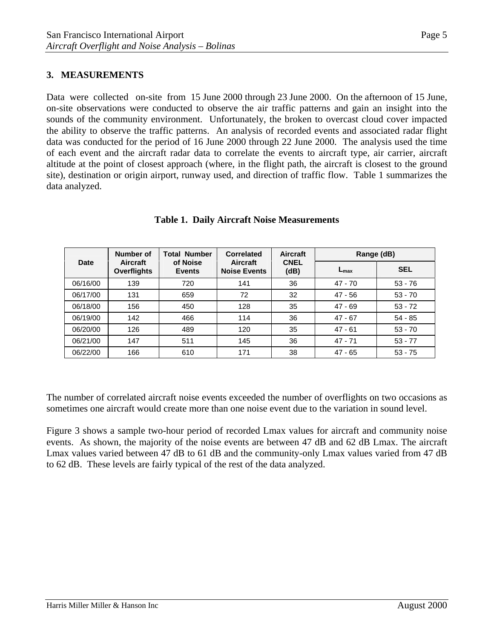#### **3. MEASUREMENTS**

Data were collected on-site from 15 June 2000 through 23 June 2000. On the afternoon of 15 June, on-site observations were conducted to observe the air traffic patterns and gain an insight into the sounds of the community environment. Unfortunately, the broken to overcast cloud cover impacted the ability to observe the traffic patterns. An analysis of recorded events and associated radar flight data was conducted for the period of 16 June 2000 through 22 June 2000. The analysis used the time of each event and the aircraft radar data to correlate the events to aircraft type, air carrier, aircraft altitude at the point of closest approach (where, in the flight path, the aircraft is closest to the ground site), destination or origin airport, runway used, and direction of traffic flow. Table 1 summarizes the data analyzed.

|          | Number of                      | <b>Total Number</b>       | <b>Correlated</b>                      | Aircraft<br><b>CNEL</b><br>(dB) | Range (dB)       |            |
|----------|--------------------------------|---------------------------|----------------------------------------|---------------------------------|------------------|------------|
| Date     | Aircraft<br><b>Overflights</b> | of Noise<br><b>Events</b> | <b>Aircraft</b><br><b>Noise Events</b> |                                 | $L_{\text{max}}$ | <b>SEL</b> |
| 06/16/00 | 139                            | 720                       | 141                                    | 36                              | $47 - 70$        | $53 - 76$  |
| 06/17/00 | 131                            | 659                       | 72                                     | 32                              | 47 - 56          | $53 - 70$  |
| 06/18/00 | 156                            | 450                       | 128                                    | 35                              | $47 - 69$        | $53 - 72$  |
| 06/19/00 | 142                            | 466                       | 114                                    | 36                              | $47 - 67$        | $54 - 85$  |
| 06/20/00 | 126                            | 489                       | 120                                    | 35                              | $47 - 61$        | $53 - 70$  |
| 06/21/00 | 147                            | 511                       | 145                                    | 36                              | 47 - 71          | $53 - 77$  |
| 06/22/00 | 166                            | 610                       | 171                                    | 38                              | $47 - 65$        | $53 - 75$  |

#### **Table 1. Daily Aircraft Noise Measurements**

The number of correlated aircraft noise events exceeded the number of overflights on two occasions as sometimes one aircraft would create more than one noise event due to the variation in sound level.

Figure 3 shows a sample two-hour period of recorded Lmax values for aircraft and community noise events. As shown, the majority of the noise events are between 47 dB and 62 dB Lmax. The aircraft Lmax values varied between 47 dB to 61 dB and the community-only Lmax values varied from 47 dB to 62 dB. These levels are fairly typical of the rest of the data analyzed.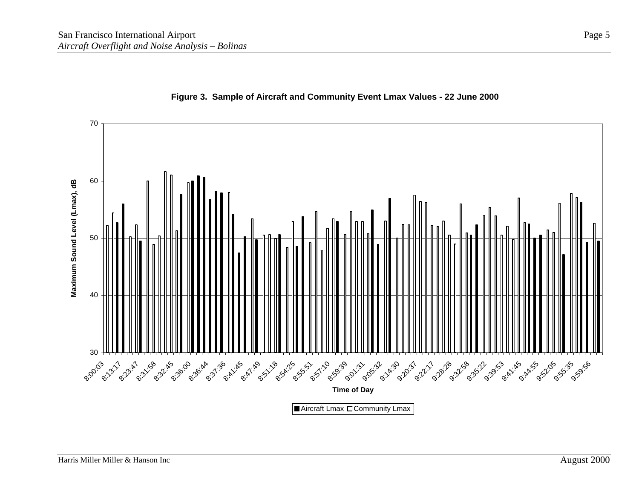

#### **Figure 3. Sample of Aircraft and Community Event Lmax Values - 22 June 2000**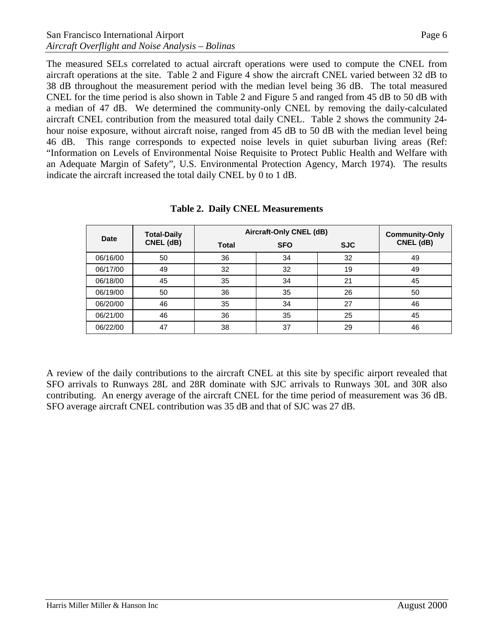The measured SELs correlated to actual aircraft operations were used to compute the CNEL from aircraft operations at the site. Table 2 and Figure 4 show the aircraft CNEL varied between 32 dB to 38 dB throughout the measurement period with the median level being 36 dB. The total measured CNEL for the time period is also shown in Table 2 and Figure 5 and ranged from 45 dB to 50 dB with a median of 47 dB. We determined the community-only CNEL by removing the daily-calculated aircraft CNEL contribution from the measured total daily CNEL. Table 2 shows the community 24 hour noise exposure, without aircraft noise, ranged from 45 dB to 50 dB with the median level being 46 dB. This range corresponds to expected noise levels in quiet suburban living areas (Ref: "Information on Levels of Environmental Noise Requisite to Protect Public Health and Welfare with an Adequate Margin of Safety", U.S. Environmental Protection Agency, March 1974). The results indicate the aircraft increased the total daily CNEL by 0 to 1 dB.

| <b>Date</b> | <b>Total-Daily</b> | Aircraft-Only CNEL (dB) | <b>Community-Only</b> |            |           |
|-------------|--------------------|-------------------------|-----------------------|------------|-----------|
|             | CNEL (dB)          | <b>Total</b>            | <b>SFO</b>            | <b>SJC</b> | CNEL (dB) |
| 06/16/00    | 50                 | 36                      | 34                    | 32         | 49        |
| 06/17/00    | 49                 | 32                      | 32                    | 19         | 49        |
| 06/18/00    | 45                 | 35                      | 34                    | 21         | 45        |
| 06/19/00    | 50                 | 36                      | 35                    | 26         | 50        |
| 06/20/00    | 46                 | 35                      | 34                    | 27         | 46        |
| 06/21/00    | 46                 | 36                      | 35                    | 25         | 45        |
| 06/22/00    | 47                 | 38                      | 37                    | 29         | 46        |

**Table 2. Daily CNEL Measurements** 

A review of the daily contributions to the aircraft CNEL at this site by specific airport revealed that SFO arrivals to Runways 28L and 28R dominate with SJC arrivals to Runways 30L and 30R also contributing. An energy average of the aircraft CNEL for the time period of measurement was 36 dB. SFO average aircraft CNEL contribution was 35 dB and that of SJC was 27 dB.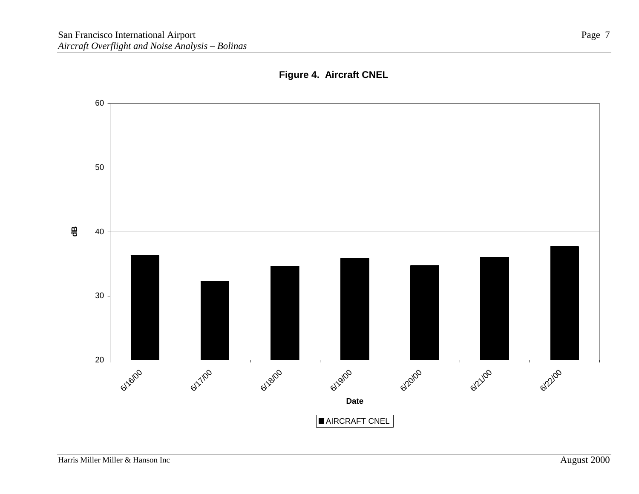

## **Figure 4. Aircraft CNEL**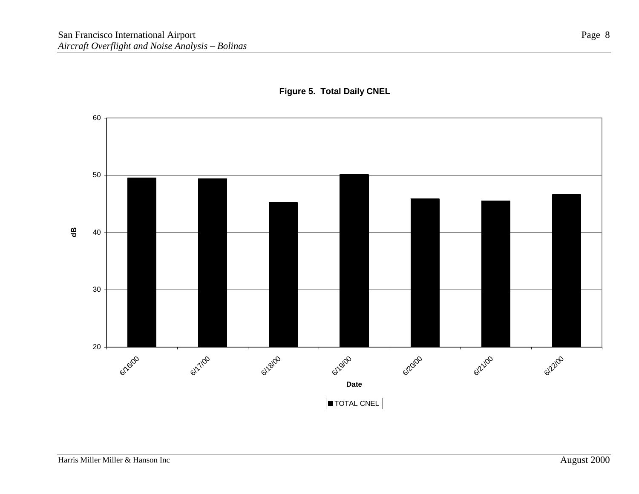

#### **Figure 5. Total Daily CNEL**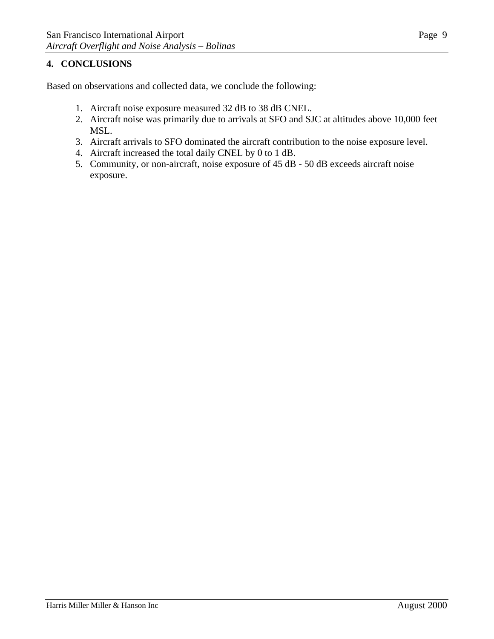# **4. CONCLUSIONS**

Based on observations and collected data, we conclude the following:

- 1. Aircraft noise exposure measured 32 dB to 38 dB CNEL.
- 2. Aircraft noise was primarily due to arrivals at SFO and SJC at altitudes above 10,000 feet MSL.
- 3. Aircraft arrivals to SFO dominated the aircraft contribution to the noise exposure level.
- 4. Aircraft increased the total daily CNEL by 0 to 1 dB.
- 5. Community, or non-aircraft, noise exposure of 45 dB 50 dB exceeds aircraft noise exposure.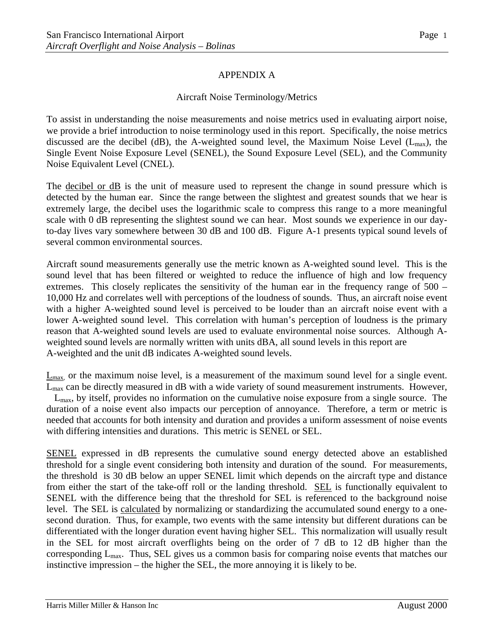#### Aircraft Noise Terminology/Metrics

To assist in understanding the noise measurements and noise metrics used in evaluating airport noise, we provide a brief introduction to noise terminology used in this report. Specifically, the noise metrics discussed are the decibel (dB), the A-weighted sound level, the Maximum Noise Level ( $L_{max}$ ), the Single Event Noise Exposure Level (SENEL), the Sound Exposure Level (SEL), and the Community Noise Equivalent Level (CNEL).

The decibel or dB is the unit of measure used to represent the change in sound pressure which is detected by the human ear. Since the range between the slightest and greatest sounds that we hear is extremely large, the decibel uses the logarithmic scale to compress this range to a more meaningful scale with 0 dB representing the slightest sound we can hear. Most sounds we experience in our dayto-day lives vary somewhere between 30 dB and 100 dB. Figure A-1 presents typical sound levels of several common environmental sources.

Aircraft sound measurements generally use the metric known as A-weighted sound level. This is the sound level that has been filtered or weighted to reduce the influence of high and low frequency extremes. This closely replicates the sensitivity of the human ear in the frequency range of 500 – 10,000 Hz and correlates well with perceptions of the loudness of sounds. Thus, an aircraft noise event with a higher A-weighted sound level is perceived to be louder than an aircraft noise event with a lower A-weighted sound level. This correlation with human's perception of loudness is the primary reason that A-weighted sound levels are used to evaluate environmental noise sources. Although Aweighted sound levels are normally written with units dBA, all sound levels in this report are A-weighted and the unit dB indicates A-weighted sound levels.

 $\underline{L}_{max}$ , or the maximum noise level, is a measurement of the maximum sound level for a single event. Lmax can be directly measured in dB with a wide variety of sound measurement instruments. However, Lmax, by itself, provides no information on the cumulative noise exposure from a single source. The duration of a noise event also impacts our perception of annoyance. Therefore, a term or metric is needed that accounts for both intensity and duration and provides a uniform assessment of noise events with differing intensities and durations. This metric is SENEL or SEL.

SENEL expressed in dB represents the cumulative sound energy detected above an established threshold for a single event considering both intensity and duration of the sound. For measurements, the threshold is 30 dB below an upper SENEL limit which depends on the aircraft type and distance from either the start of the take-off roll or the landing threshold. SEL is functionally equivalent to SENEL with the difference being that the threshold for SEL is referenced to the background noise level. The SEL is calculated by normalizing or standardizing the accumulated sound energy to a onesecond duration. Thus, for example, two events with the same intensity but different durations can be differentiated with the longer duration event having higher SEL. This normalization will usually result in the SEL for most aircraft overflights being on the order of 7 dB to 12 dB higher than the corresponding Lmax. Thus, SEL gives us a common basis for comparing noise events that matches our instinctive impression – the higher the SEL, the more annoying it is likely to be.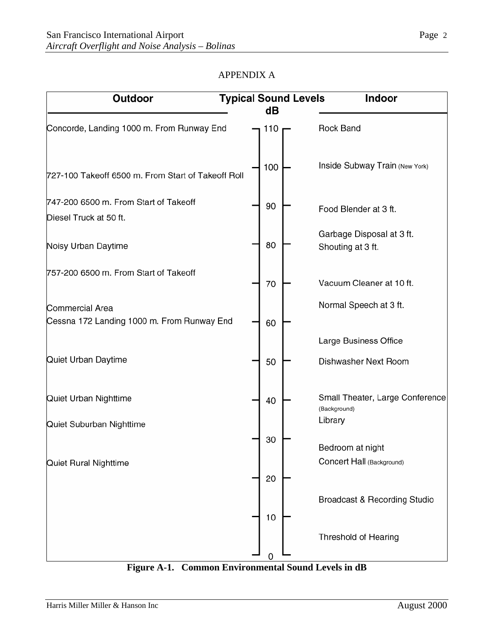| Outdoor                                                              | <b>Typical Sound Levels</b>       | Indoor                                        |
|----------------------------------------------------------------------|-----------------------------------|-----------------------------------------------|
| Concorde, Landing 1000 m. From Runway End                            | dB<br>Rock Band<br>110            |                                               |
| 727-100 Takeoff 6500 m. From Start of Takeoff Roll                   | 100                               | <b>Inside Subway Train (New York)</b>         |
| 747-200 6500 m. From Start of Takeoff<br>Diesel Truck at 50 ft.      | 90<br>Food Blender at 3 ft.       |                                               |
| Noisy Urban Daytime                                                  | 80<br>Shouting at 3 ft.           | Garbage Disposal at 3 ft.                     |
| 757-200 6500 m. From Start of Takeoff                                | 70                                | Vacuum Cleaner at 10 ft.                      |
| <b>Commercial Area</b><br>Cessna 172 Landing 1000 m. From Runway End | 60                                | Normal Speech at 3 ft.                        |
| Quiet Urban Daytime                                                  | 50                                | Large Business Office<br>Dishwasher Next Room |
| Quiet Urban Nighttime                                                | 40<br>(Background)                | Small Theater, Large Conference               |
| Quiet Suburban Nighttime                                             | Library<br>30<br>Bedroom at night |                                               |
| Quiet Rural Nighttime                                                | 20                                | Concert Hall (Background)                     |
|                                                                      | 10                                | Broadcast & Recording Studio                  |
|                                                                      | Threshold of Hearing<br>0         |                                               |

**Figure A-1. Common Environmental Sound Levels in dB**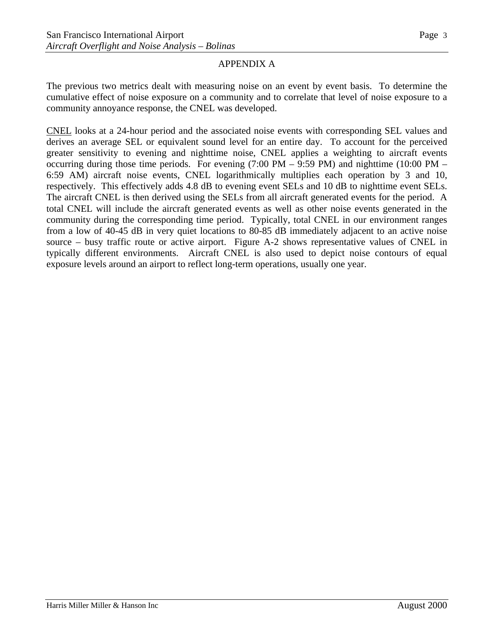The previous two metrics dealt with measuring noise on an event by event basis. To determine the cumulative effect of noise exposure on a community and to correlate that level of noise exposure to a community annoyance response, the CNEL was developed.

CNEL looks at a 24-hour period and the associated noise events with corresponding SEL values and derives an average SEL or equivalent sound level for an entire day. To account for the perceived greater sensitivity to evening and nighttime noise, CNEL applies a weighting to aircraft events occurring during those time periods. For evening (7:00 PM – 9:59 PM) and nighttime (10:00 PM – 6:59 AM) aircraft noise events, CNEL logarithmically multiplies each operation by 3 and 10, respectively. This effectively adds 4.8 dB to evening event SELs and 10 dB to nighttime event SELs. The aircraft CNEL is then derived using the SELs from all aircraft generated events for the period. A total CNEL will include the aircraft generated events as well as other noise events generated in the community during the corresponding time period. Typically, total CNEL in our environment ranges from a low of 40-45 dB in very quiet locations to 80-85 dB immediately adjacent to an active noise source – busy traffic route or active airport. Figure A-2 shows representative values of CNEL in typically different environments. Aircraft CNEL is also used to depict noise contours of equal exposure levels around an airport to reflect long-term operations, usually one year.